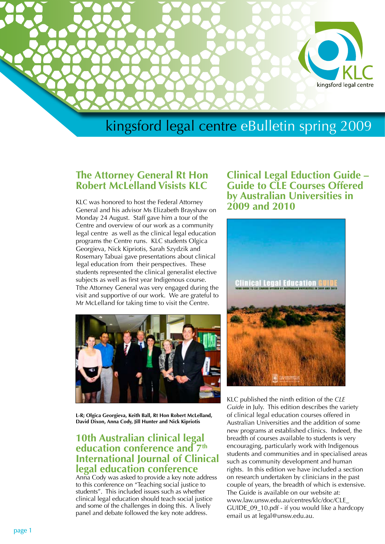

# kingsford legal centre eBulletin spring 2009

#### **The Attorney General Rt Hon Robert McLelland Visists KLC**

KLC was honored to host the Federal Attorney General and his advisor Ms Elizabeth Brayshaw on Monday 24 August. Staff gave him a tour of the Centre and overview of our work as a community legal centre as well as the clinical legal education programs the Centre runs. KLC students Olgica Georgieva, Nick Kipriotis, Sarah Szydzik and Rosemary Tabuai gave presentations about clinical legal education from their perspectives. These students represented the clinical generalist elective subjects as well as first year Indigenous course. Tthe Attorney General was very engaged during the visit and supportive of our work. We are grateful to Mr McLelland for taking time to visit the Centre.



**L-R; Olgica Georgieva, Keith Ball, Rt Hon Robert McLelland, David Dixon, Anna Cody, Jill Hunter and Nick Kipriotis**

#### **10th Australian clinical legal education conference and 7th International Journal of Clinical legal education conference**

Anna Cody was asked to provide a key note address to this conference on "Teaching social justice to students". This included issues such as whether clinical legal education should teach social justice and some of the challenges in doing this. A lively panel and debate followed the key note address.

**Clinical Legal Eduction Guide – Guide to CLE Courses Offered by Australian Universities in 2009 and 2010**



KLC published the ninth edition of the *CLE Guide* in July. This edition describes the variety of clinical legal education courses offered in Australian Universities and the addition of some new programs at established clinics. Indeed, the breadth of courses available to students is very encouraging, particularly work with Indigenous students and communities and in specialised areas such as community development and human rights. In this edition we have included a section on research undertaken by clinicians in the past couple of years, the breadth of which is extensive. The Guide is available on our website at: www.law.unsw.edu.au/centres/klc/doc/CLE\_ GUIDE\_09\_10.pdf - if you would like a hardcopy email us at legal@unsw.edu.au.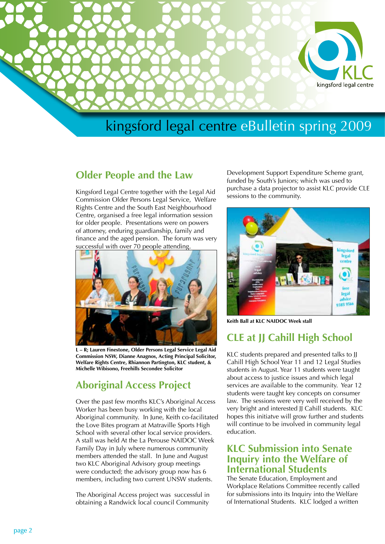

# kingsford legal centre eBulletin spring 2009

#### **Older People and the Law**

Kingsford Legal Centre together with the Legal Aid Commission Older Persons Legal Service, Welfare Rights Centre and the South East Neighbourhood Centre, organised a free legal information session for older people. Presentations were on powers of attorney, enduring guardianship, family and finance and the aged pension. The forum was very successful with over 70 people attending.



**L – R; Lauren Finestone, Older Persons Legal Service Legal Aid Commission NSW, Dianne Anagnos, Acting Principal Solicitor, Welfare Rights Centre, Rhiannon Partington, KLC student, & Michelle Wibisono, Freehills Secondee Solicitor**

### **Aboriginal Access Project**

Over the past few months KLC's Aboriginal Access Worker has been busy working with the local Aboriginal community. In June, Keith co-facilitated the Love Bites program at Matraville Sports High School with several other local service providers. A stall was held At the La Perouse NAIDOC Week Family Day in July where numerous community members attended the stall. In June and August two KLC Aboriginal Advisory group meetings were conducted; the advisory group now has 6 members, including two current UNSW students.

The Aboriginal Access project was successful in obtaining a Randwick local council Community

Development Support Expenditure Scheme grant, funded by South's Juniors; which was used to purchase a data projector to assist KLC provide CLE sessions to the community.



**Keith Ball at KLC NAIDOC Week stall**

## **CLE at JJ Cahill High School**

KLC students prepared and presented talks to JJ Cahill High School Year 11 and 12 Legal Studies students in August. Year 11 students were taught about access to justice issues and which legal services are available to the community. Year 12 students were taught key concepts on consumer law. The sessions were very well received by the very bright and interested JJ Cahill students. KLC hopes this initiatve will grow further and students will continue to be involved in community legal education.

#### **KLC Submission into Senate Inquiry into the Welfare of International Students**

The Senate Education, Employment and Workplace Relations Committee recently called for submissions into its Inquiry into the Welfare of International Students. KLC lodged a written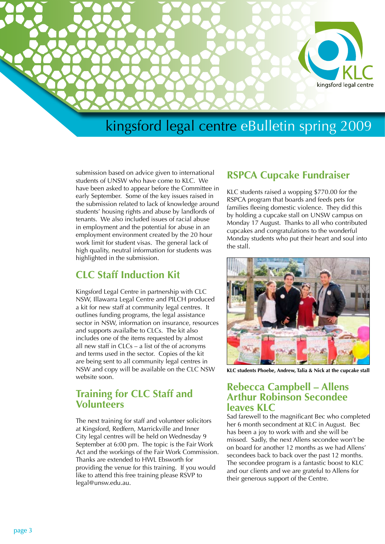

## kingsford legal centre eBulletin spring 2009

submission based on advice given to international students of UNSW who have come to KLC. We have been asked to appear before the Committee in early September. Some of the key issues raised in the submission related to lack of knowledge around students' housing rights and abuse by landlords of tenants. We also included issues of racial abuse in employment and the potential for abuse in an employment environment created by the 20 hour work limit for student visas. The general lack of high quality, neutral information for students was highlighted in the submission.

#### **CLC Staff Induction Kit**

Kingsford Legal Centre in partnership with CLC NSW, Illawarra Legal Centre and PILCH produced a kit for new staff at community legal centres. It outlines funding programs, the legal assistance sector in NSW, information on insurance, resources and supports availalbe to CLCs. The kit also includes one of the items requested by almost all new staff in CLCs – a list of the of acronyms and terms used in the sector. Copies of the kit are being sent to all community legal centres in NSW and copy will be available on the CLC NSW website soon.

#### **Training for CLC Staff and Volunteers**

The next training for staff and volunteer solicitors at Kingsford, Redfern, Marrickville and Inner City legal centres will be held on Wednesday 9 September at 6:00 pm. The topic is the Fair Work Act and the workings of the Fair Work Commission. Thanks are extended to HWL Ebsworth for providing the venue for this training. If you would like to attend this free training please RSVP to legal@unsw.edu.au.

#### **RSPCA Cupcake Fundraiser**

KLC students raised a wopping \$770.00 for the RSPCA program that boards and feeds pets for families fleeing domestic violence. They did this by holding a cupcake stall on UNSW campus on Monday 17 August. Thanks to all who contributed cupcakes and congratulations to the wonderful Monday students who put their heart and soul into the stall.



**KLC students Phoebe, Andrew, Talia & Nick at the cupcake stall**

#### **Rebecca Campbell – Allens Arthur Robinson Secondee leaves KLC**

Sad farewell to the magnificant Bec who completed her 6 month secondment at KLC in August. Bec has been a joy to work with and she will be missed. Sadly, the next Allens secondee won't be on board for another 12 months as we had Allens' secondees back to back over the past 12 months. The secondee program is a fantastic boost to KLC and our clients and we are grateful to Allens for their generous support of the Centre.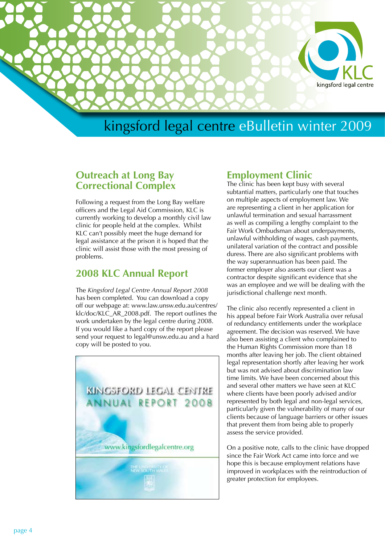

## kingsford legal centre eBulletin winter 2009

#### **Outreach at Long Bay Correctional Complex**

Following a request from the Long Bay welfare officers and the Legal Aid Commission, KLC is currently working to develop a monthly civil law clinic for people held at the complex. Whilst KLC can't possibly meet the huge demand for legal assistance at the prison it is hoped that the clinic will assist those with the most pressing of problems.

#### **2008 KLC Annual Report**

The *Kingsford Legal Centre Annual Report 2008* has been completed. You can download a copy off our webpage at: www.law.unsw.edu.au/centres/ klc/doc/KLC\_AR\_2008.pdf. The report outlines the work undertaken by the legal centre during 2008. If you would like a hard copy of the report please send your request to legal@unsw.edu.au and a hard copy will be posted to you.



#### **Employment Clinic**

The clinic has been kept busy with several subtantial matters, particularly one that touches on multiple aspects of employment law. We are representing a client in her application for unlawful termination and sexual harrassment as well as compiling a lengthy complaint to the Fair Work Ombudsman about underpayments, unlawful withholding of wages, cash payments, unilateral variation of the contract and possible duress. There are also significant problems with the way superannuation has been paid. The former employer also asserts our client was a contractor despite significant evidence that she was an employee and we will be dealing with the jurisdictional challenge next month.

The clinic also recently represented a client in his appeal before Fair Work Australia over refusal of redundancy entitlements under the workplace agreement. The decision was reserved. We have also been assisting a client who complained to the Human Rights Commission more than 18 months after leaving her job. The client obtained legal representation shortly after leaving her work but was not advised about discrimination law time limits. We have been concerned about this and several other matters we have seen at KLC where clients have been poorly advised and/or represented by both legal and non-legal services, particularly given the vulnerability of many of our clients because of language barriers or other issues that prevent them from being able to properly assess the service provided.

On a positive note, calls to the clinic have dropped since the Fair Work Act came into force and we hope this is because employment relations have improved in workplaces with the reintroduction of greater protection for employees.